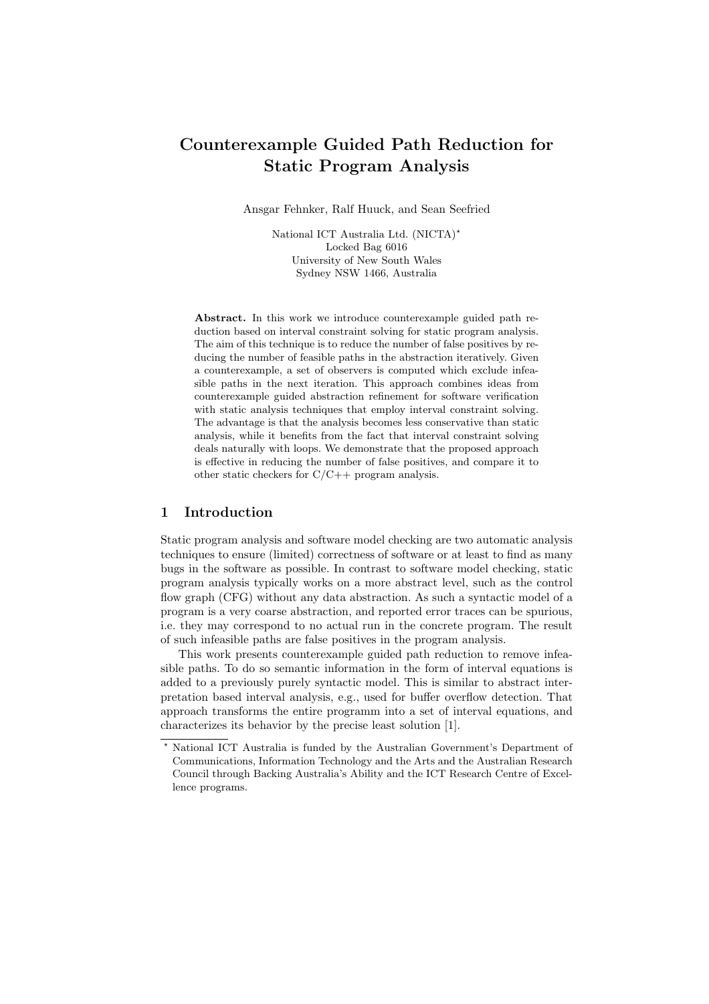# Counterexample Guided Path Reduction for Static Program Analysis

Ansgar Fehnker, Ralf Huuck, and Sean Seefried

National ICT Australia Ltd. (NICTA)? Locked Bag 6016 University of New South Wales Sydney NSW 1466, Australia

Abstract. In this work we introduce counterexample guided path reduction based on interval constraint solving for static program analysis. The aim of this technique is to reduce the number of false positives by reducing the number of feasible paths in the abstraction iteratively. Given a counterexample, a set of observers is computed which exclude infeasible paths in the next iteration. This approach combines ideas from counterexample guided abstraction refinement for software verification with static analysis techniques that employ interval constraint solving. The advantage is that the analysis becomes less conservative than static analysis, while it benefits from the fact that interval constraint solving deals naturally with loops. We demonstrate that the proposed approach is effective in reducing the number of false positives, and compare it to other static checkers for C/C++ program analysis.

#### 1 Introduction

Static program analysis and software model checking are two automatic analysis techniques to ensure (limited) correctness of software or at least to find as many bugs in the software as possible. In contrast to software model checking, static program analysis typically works on a more abstract level, such as the control flow graph (CFG) without any data abstraction. As such a syntactic model of a program is a very coarse abstraction, and reported error traces can be spurious, i.e. they may correspond to no actual run in the concrete program. The result of such infeasible paths are false positives in the program analysis.

This work presents counterexample guided path reduction to remove infeasible paths. To do so semantic information in the form of interval equations is added to a previously purely syntactic model. This is similar to abstract interpretation based interval analysis, e.g., used for buffer overflow detection. That approach transforms the entire programm into a set of interval equations, and characterizes its behavior by the precise least solution [1].

<sup>?</sup> National ICT Australia is funded by the Australian Government's Department of Communications, Information Technology and the Arts and the Australian Research Council through Backing Australia's Ability and the ICT Research Centre of Excellence programs.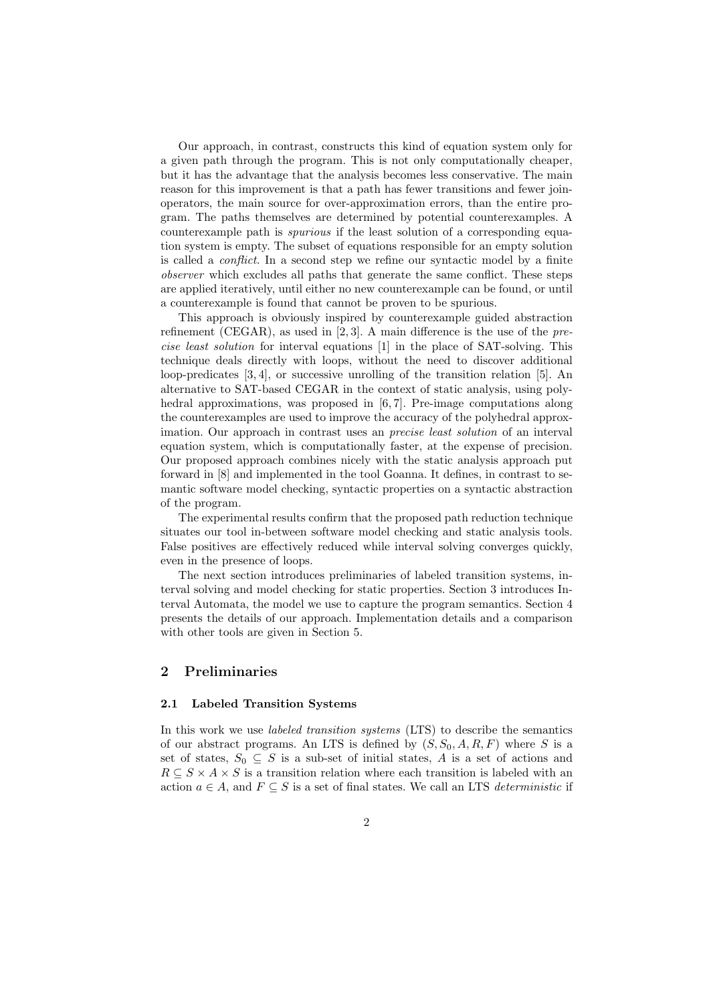Our approach, in contrast, constructs this kind of equation system only for a given path through the program. This is not only computationally cheaper, but it has the advantage that the analysis becomes less conservative. The main reason for this improvement is that a path has fewer transitions and fewer joinoperators, the main source for over-approximation errors, than the entire program. The paths themselves are determined by potential counterexamples. A counterexample path is spurious if the least solution of a corresponding equation system is empty. The subset of equations responsible for an empty solution is called a conflict. In a second step we refine our syntactic model by a finite observer which excludes all paths that generate the same conflict. These steps are applied iteratively, until either no new counterexample can be found, or until a counterexample is found that cannot be proven to be spurious.

This approach is obviously inspired by counterexample guided abstraction refinement (CEGAR), as used in  $[2, 3]$ . A main difference is the use of the precise least solution for interval equations [1] in the place of SAT-solving. This technique deals directly with loops, without the need to discover additional loop-predicates [3, 4], or successive unrolling of the transition relation [5]. An alternative to SAT-based CEGAR in the context of static analysis, using polyhedral approximations, was proposed in [6,7]. Pre-image computations along the counterexamples are used to improve the accuracy of the polyhedral approximation. Our approach in contrast uses an precise least solution of an interval equation system, which is computationally faster, at the expense of precision. Our proposed approach combines nicely with the static analysis approach put forward in [8] and implemented in the tool Goanna. It defines, in contrast to semantic software model checking, syntactic properties on a syntactic abstraction of the program.

The experimental results confirm that the proposed path reduction technique situates our tool in-between software model checking and static analysis tools. False positives are effectively reduced while interval solving converges quickly, even in the presence of loops.

The next section introduces preliminaries of labeled transition systems, interval solving and model checking for static properties. Section 3 introduces Interval Automata, the model we use to capture the program semantics. Section 4 presents the details of our approach. Implementation details and a comparison with other tools are given in Section 5.

## 2 Preliminaries

#### 2.1 Labeled Transition Systems

In this work we use *labeled transition systems* (LTS) to describe the semantics of our abstract programs. An LTS is defined by  $(S, S_0, A, R, F)$  where S is a set of states,  $S_0 \subseteq S$  is a sub-set of initial states, A is a set of actions and  $R \subseteq S \times A \times S$  is a transition relation where each transition is labeled with an action  $a \in A$ , and  $F \subseteq S$  is a set of final states. We call an LTS *deterministic* if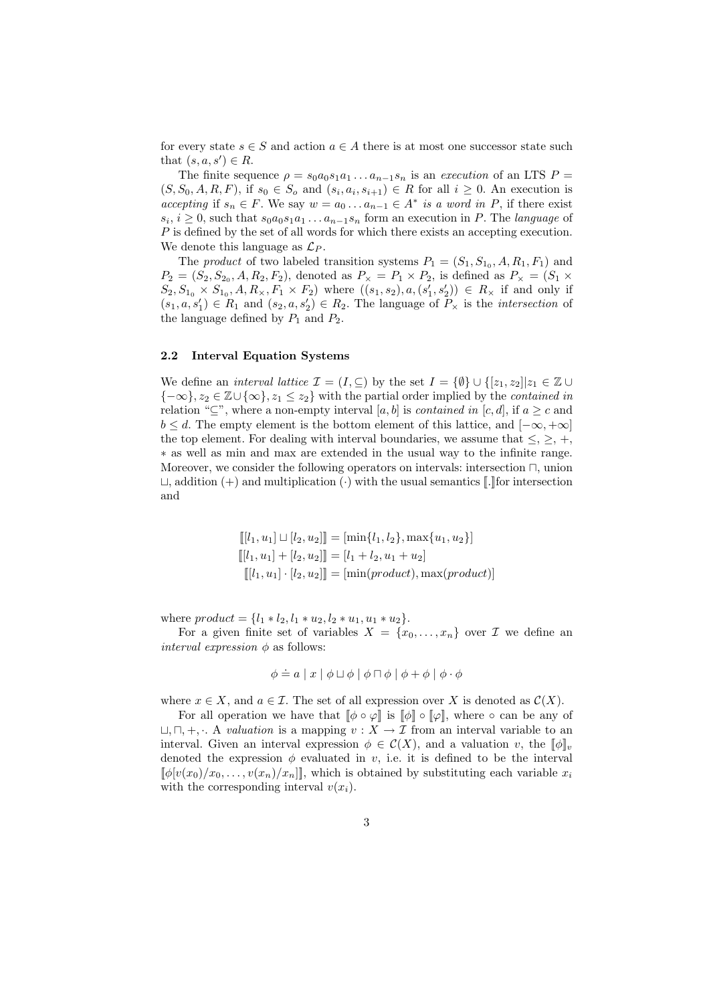for every state  $s \in S$  and action  $a \in A$  there is at most one successor state such that  $(s, a, s') \in R$ .

The finite sequence  $\rho = s_0 a_0 s_1 a_1 \dots a_{n-1} s_n$  is an execution of an LTS  $P =$  $(S, S_0, A, R, F)$ , if  $s_0 \in S_o$  and  $(s_i, a_i, s_{i+1}) \in R$  for all  $i \geq 0$ . An execution is accepting if  $s_n \in F$ . We say  $w = a_0 \dots a_{n-1} \in A^*$  is a word in P, if there exist  $s_i, i \geq 0$ , such that  $s_0 a_0 s_1 a_1 \ldots a_{n-1} s_n$  form an execution in P. The *language* of P is defined by the set of all words for which there exists an accepting execution. We denote this language as  $\mathcal{L}_P$ .

The *product* of two labeled transition systems  $P_1 = (S_1, S_{1_0}, A, R_1, F_1)$  and  $P_2 = (S_2, S_{2_0}, A, R_2, F_2)$ , denoted as  $P_\times = P_1 \times P_2$ , is defined as  $P_\times = (S_1 \times P_2)$  $S_2, S_{1_0} \times S_{1_0}, A, R_{\times}, F_1 \times F_2$  where  $((s_1, s_2), a, (s'_1, s'_2)) \in R_{\times}$  if and only if  $(s_1, a, s'_1) \in R_1$  and  $(s_2, a, s'_2) \in R_2$ . The language of  $P_\times$  is the *intersection* of the language defined by  $P_1$  and  $P_2$ .

#### 2.2 Interval Equation Systems

We define an *interval lattice*  $\mathcal{I} = (I, \subseteq)$  by the set  $I = \{\emptyset\} \cup \{[z_1, z_2] | z_1 \in \mathbb{Z} \cup \{z_2\} \}$  ${-\infty}$ ,  $z_2 \in \mathbb{Z} \cup {\infty}$ ,  $z_1 \leq z_2$ } with the partial order implied by the *contained in* relation " $\subseteq$ ", where a non-empty interval [a, b] is contained in [c, d], if  $a \geq c$  and  $b \leq d$ . The empty element is the bottom element of this lattice, and  $[-\infty, +\infty]$ the top element. For dealing with interval boundaries, we assume that  $\leq, \geq, +$ , ∗ as well as min and max are extended in the usual way to the infinite range. Moreover, we consider the following operators on intervals: intersection  $\Box$ , union  $\Box$ , addition (+) and multiplication ( $\cdot$ ) with the usual semantics [[.]] for intersection and

$$
[[l_1, u_1] \sqcup [l_2, u_2]] = [\min\{l_1, l_2\}, \max\{u_1, u_2\}]
$$

$$
[[l_1, u_1] + [l_2, u_2]] = [l_1 + l_2, u_1 + u_2]
$$

$$
[[l_1, u_1] \cdot [l_2, u_2]] = [\min(preduct), \max(preduct)]
$$

where  $product = \{l_1 * l_2, l_1 * u_2, l_2 * u_1, u_1 * u_2\}.$ 

For a given finite set of variables  $X = \{x_0, \ldots, x_n\}$  over  $\mathcal I$  we define an *interval expression*  $\phi$  as follows:

$$
\phi \doteq a \mid x \mid \phi \sqcup \phi \mid \phi \sqcap \phi \mid \phi + \phi \mid \phi \cdot \phi
$$

where  $x \in X$ , and  $a \in \mathcal{I}$ . The set of all expression over X is denoted as  $\mathcal{C}(X)$ .

For all operation we have that  $[\![\phi \circ \varphi]\!]$  is  $[\![\phi]\!] \circ [\![\varphi]\!]$ , where  $\circ$  can be any of  $\sqcup, \sqcap, +, \ldots$  A valuation is a mapping  $v : X \to \mathcal{I}$  from an interval variable to an interval. Given an interval expression  $\phi \in \mathcal{C}(X)$ , and a valuation v, the  $[\![\phi]\!]_v$ denoted the expression  $\phi$  evaluated in v, i.e. it is defined to be the interval  $\llbracket \phi[v(x_0)/x_0, \ldots, v(x_n)/x_n] \rrbracket$ , which is obtained by substituting each variable  $x_i$ with the corresponding interval  $v(x_i)$ .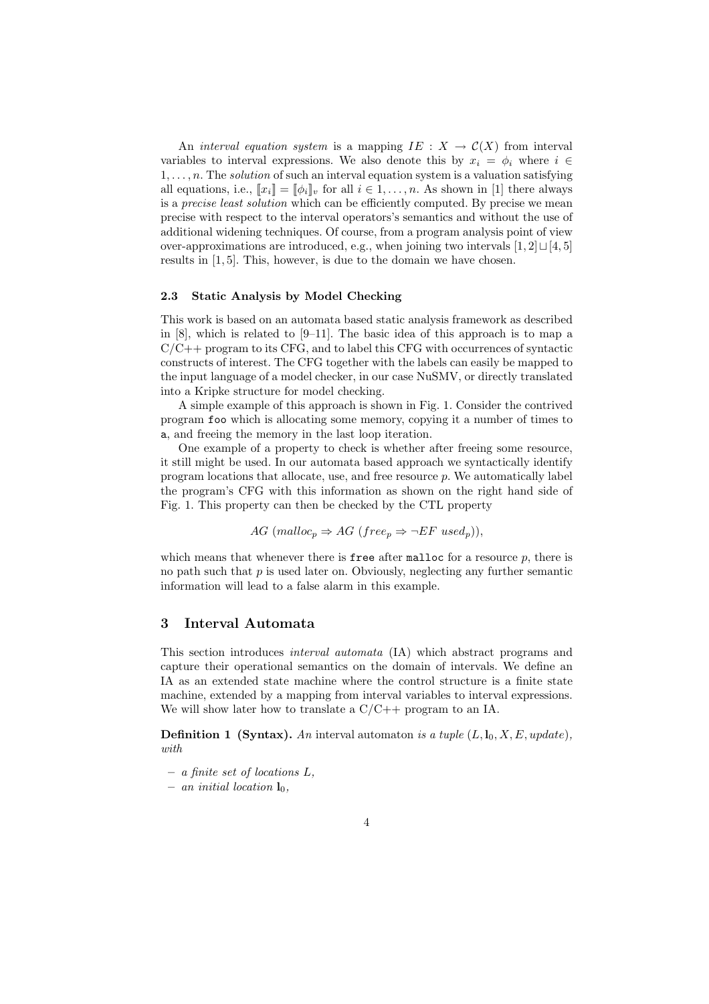An *interval equation system* is a mapping  $IE : X \to C(X)$  from interval variables to interval expressions. We also denote this by  $x_i = \phi_i$  where  $i \in$  $1, \ldots, n$ . The *solution* of such an interval equation system is a valuation satisfying all equations, i.e.,  $[\![x_i]\!] = [\![\phi_i]\!]_v$  for all  $i \in 1, \ldots, n$ . As shown in [1] there always is a *precise least solution* which can be efficiently computed. By precise we mean precise with respect to the interval operators's semantics and without the use of additional widening techniques. Of course, from a program analysis point of view over-approximations are introduced, e.g., when joining two intervals  $[1, 2] \sqcup [4, 5]$ results in [1, 5]. This, however, is due to the domain we have chosen.

#### 2.3 Static Analysis by Model Checking

This work is based on an automata based static analysis framework as described in [8], which is related to [9–11]. The basic idea of this approach is to map a  $C/C++$  program to its CFG, and to label this CFG with occurrences of syntactic constructs of interest. The CFG together with the labels can easily be mapped to the input language of a model checker, in our case NuSMV, or directly translated into a Kripke structure for model checking.

A simple example of this approach is shown in Fig. 1. Consider the contrived program foo which is allocating some memory, copying it a number of times to a, and freeing the memory in the last loop iteration.

One example of a property to check is whether after freeing some resource, it still might be used. In our automata based approach we syntactically identify program locations that allocate, use, and free resource  $p$ . We automatically label the program's CFG with this information as shown on the right hand side of Fig. 1. This property can then be checked by the CTL property

$$
AG \ (malloc_p \Rightarrow AG \ (free_p \Rightarrow \neg EF \ used_p)),
$$

which means that whenever there is **free** after malloc for a resource  $p$ , there is no path such that  $p$  is used later on. Obviously, neglecting any further semantic information will lead to a false alarm in this example.

#### 3 Interval Automata

This section introduces interval automata (IA) which abstract programs and capture their operational semantics on the domain of intervals. We define an IA as an extended state machine where the control structure is a finite state machine, extended by a mapping from interval variables to interval expressions. We will show later how to translate a  $C/C++$  program to an IA.

**Definition 1 (Syntax).** An interval automaton is a tuple  $(L, l_0, X, E, update)$ , with

- a finite set of locations L,
- an initial location  $\mathbf{l}_0$ ,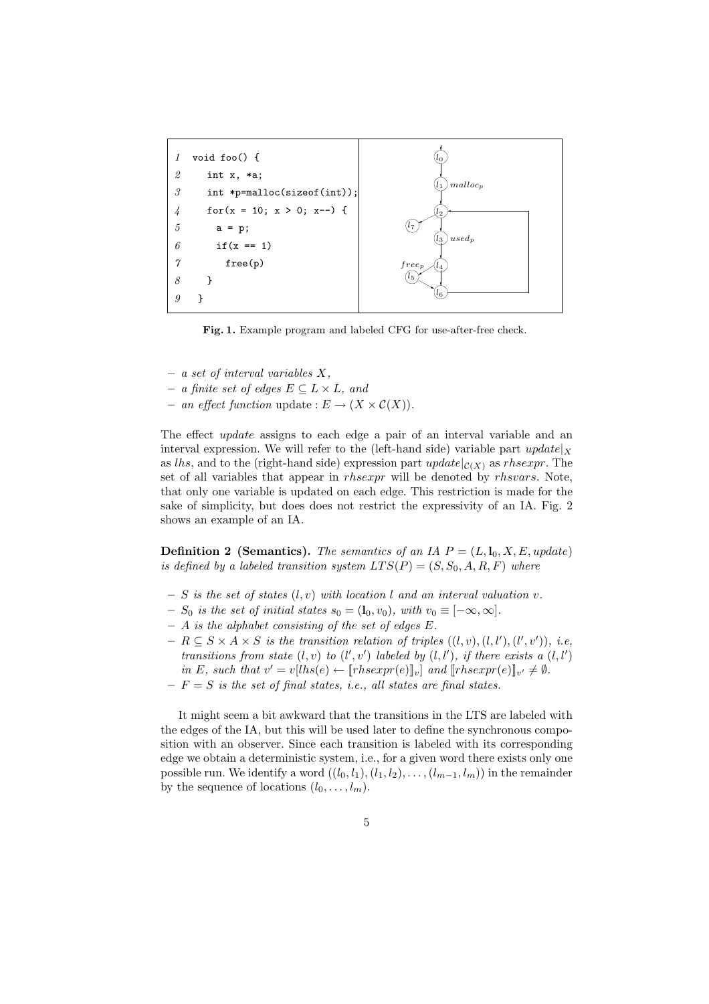

Fig. 1. Example program and labeled CFG for use-after-free check.

- $-$  a set of interval variables X,
- $− a finite set of edges E ⊂ L × L, and$
- an effect function update :  $E \to (X \times C(X)).$

The effect *update* assigns to each edge a pair of an interval variable and an interval expression. We will refer to the (left-hand side) variable part  $update|_X$ as lhs, and to the (right-hand side) expression part  $update|_{\mathcal{C}(X)}$  as rhsexpr. The set of all variables that appear in *rhsexpr* will be denoted by *rhsvars*. Note, that only one variable is updated on each edge. This restriction is made for the sake of simplicity, but does does not restrict the expressivity of an IA. Fig. 2 shows an example of an IA.

**Definition 2 (Semantics).** The semantics of an IA  $P = (L, l_0, X, E, update)$ is defined by a labeled transition system  $LTS(P) = (S, S_0, A, R, F)$  where

- $S$  is the set of states  $(l, v)$  with location l and an interval valuation v.
- $S_0$  is the set of initial states  $s_0 = (\mathbf{l}_0, v_0)$ , with  $v_0 \equiv [-\infty, \infty]$ .
- $A$  is the alphabet consisting of the set of edges  $E$ .
- $-R \subseteq S \times A \times S$  is the transition relation of triples  $((l, v), (l, l'), (l', v'))$ , i.e, transitions from state  $(l, v)$  to  $(l', v')$  labeled by  $(l, l')$ , if there exists a  $(l, l')$ in E, such that  $v' = v[lhs(e) \leftarrow [\text{r}hsexpr(e)]_v]$  and  $[\text{r}hsexpr(e)]_{v'} \neq \emptyset$ .
- $-F = S$  is the set of final states, i.e., all states are final states.

It might seem a bit awkward that the transitions in the LTS are labeled with the edges of the IA, but this will be used later to define the synchronous composition with an observer. Since each transition is labeled with its corresponding edge we obtain a deterministic system, i.e., for a given word there exists only one possible run. We identify a word  $((l_0, l_1), (l_1, l_2), \ldots, (l_{m-1}, l_m))$  in the remainder by the sequence of locations  $(l_0, \ldots, l_m)$ .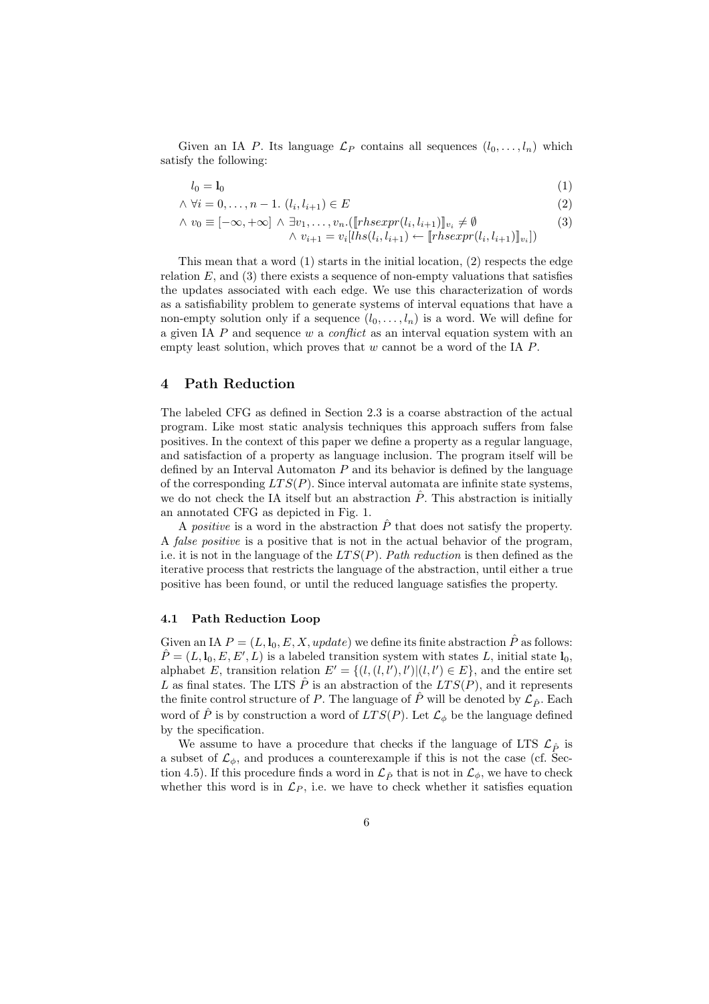Given an IA P. Its language  $\mathcal{L}_P$  contains all sequences  $(l_0, \ldots, l_n)$  which satisfy the following:

$$
l_0 = \mathbf{l}_0 \tag{1}
$$

 $\land \forall i = 0, \dots, n-1.$   $(l_i, l_{i+1}) \in E$  (2)

$$
\wedge v_0 \equiv [-\infty, +\infty] \wedge \exists v_1, \dots, v_n. ([\text{r}hsexpr(l_i, l_{i+1})])_{v_i} \neq \emptyset
$$
\n(3)

 $\land v_{i+1} = v_i[ln(s(l_i, l_{i+1}) \leftarrow [rhsexpr(l_i, l_{i+1})]_{v_i}])$ 

This mean that a word (1) starts in the initial location, (2) respects the edge relation  $E$ , and  $(3)$  there exists a sequence of non-empty valuations that satisfies the updates associated with each edge. We use this characterization of words as a satisfiability problem to generate systems of interval equations that have a non-empty solution only if a sequence  $(l_0, \ldots, l_n)$  is a word. We will define for a given IA  $P$  and sequence  $w$  a *conflict* as an interval equation system with an empty least solution, which proves that  $w$  cannot be a word of the IA  $P$ .

## 4 Path Reduction

The labeled CFG as defined in Section 2.3 is a coarse abstraction of the actual program. Like most static analysis techniques this approach suffers from false positives. In the context of this paper we define a property as a regular language, and satisfaction of a property as language inclusion. The program itself will be defined by an Interval Automaton  $P$  and its behavior is defined by the language of the corresponding  $LTS(P)$ . Since interval automata are infinite state systems, we do not check the IA itself but an abstraction  $\tilde{P}$ . This abstraction is initially an annotated CFG as depicted in Fig. 1.

A *positive* is a word in the abstraction  $\hat{P}$  that does not satisfy the property. A false positive is a positive that is not in the actual behavior of the program, i.e. it is not in the language of the  $LTS(P)$ . Path reduction is then defined as the iterative process that restricts the language of the abstraction, until either a true positive has been found, or until the reduced language satisfies the property.

#### 4.1 Path Reduction Loop

Given an IA  $P = (L, l_0, E, X, update)$  we define its finite abstraction  $\hat{P}$  as follows:  $\hat{P} = (L, \mathbf{l}_0, E, E', L)$  is a labeled transition system with states L, initial state  $\mathbf{l}_0$ , alphabet E, transition relation  $E' = \{(l, (l, l'), l') | (l, l') \in E\}$ , and the entire set L as final states. The LTS  $\tilde{P}$  is an abstraction of the  $LTS(P)$ , and it represents the finite control structure of P. The language of  $\hat{P}$  will be denoted by  $\mathcal{L}_{\hat{P}}$ . Each word of  $\hat{P}$  is by construction a word of  $LTS(P)$ . Let  $\mathcal{L}_{\phi}$  be the language defined by the specification.

We assume to have a procedure that checks if the language of LTS  $\mathcal{L}_{\hat{P}}$  is a subset of  $\mathcal{L}_{\phi}$ , and produces a counterexample if this is not the case (cf. Section 4.5). If this procedure finds a word in  $\mathcal{L}_{\hat{P}}$  that is not in  $\mathcal{L}_{\phi}$ , we have to check whether this word is in  $\mathcal{L}_P$ , i.e. we have to check whether it satisfies equation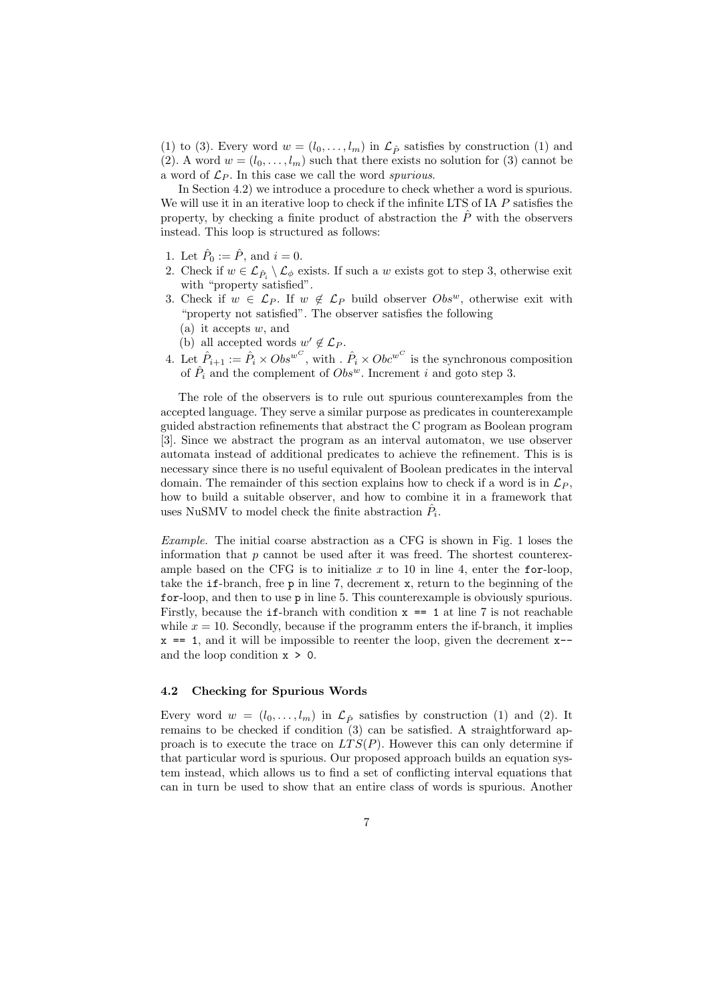(1) to (3). Every word  $w = (l_0, \ldots, l_m)$  in  $\mathcal{L}_{\hat{P}}$  satisfies by construction (1) and (2). A word  $w = (l_0, \ldots, l_m)$  such that there exists no solution for (3) cannot be a word of  $\mathcal{L}_P$ . In this case we call the word spurious.

In Section 4.2) we introduce a procedure to check whether a word is spurious. We will use it in an iterative loop to check if the infinite LTS of IA P satisfies the property, by checking a finite product of abstraction the  $\hat{P}$  with the observers instead. This loop is structured as follows:

- 1. Let  $\hat{P}_0 := \hat{P}$ , and  $i = 0$ .
- 2. Check if  $w \in \mathcal{L}_{\hat{P}_i} \setminus \mathcal{L}_{\phi}$  exists. If such a w exists got to step 3, otherwise exit with "property satisfied".
- 3. Check if  $w \in \mathcal{L}_P$ . If  $w \notin \mathcal{L}_P$  build observer  $Obs^w$ , otherwise exit with "property not satisfied". The observer satisfies the following
	- (a) it accepts  $w$ , and
	- (b) all accepted words  $w' \notin \mathcal{L}_P$ .
- 4. Let  $\hat{P}_{i+1} := \hat{P}_i \times Obs^{w^C}$ , with  $\ldots \hat{P}_i \times Obs^{w^C}$  is the synchronous composition of  $\hat{P}_i$  and the complement of  $Obs^w$ . Increment i and goto step 3.

The role of the observers is to rule out spurious counterexamples from the accepted language. They serve a similar purpose as predicates in counterexample guided abstraction refinements that abstract the C program as Boolean program [3]. Since we abstract the program as an interval automaton, we use observer automata instead of additional predicates to achieve the refinement. This is is necessary since there is no useful equivalent of Boolean predicates in the interval domain. The remainder of this section explains how to check if a word is in  $\mathcal{L}_P$ , how to build a suitable observer, and how to combine it in a framework that uses NuSMV to model check the finite abstraction  $\hat{P}_i$ .

Example. The initial coarse abstraction as a CFG is shown in Fig. 1 loses the information that  $p$  cannot be used after it was freed. The shortest counterexample based on the CFG is to initialize  $x$  to 10 in line 4, enter the for-loop, take the if-branch, free p in line 7, decrement x, return to the beginning of the for-loop, and then to use p in line 5. This counterexample is obviously spurious. Firstly, because the if-branch with condition  $x = 1$  at line 7 is not reachable while  $x = 10$ . Secondly, because if the programm enters the if-branch, it implies  $x == 1$ , and it will be impossible to reenter the loop, given the decrement  $x-$ and the loop condition  $x > 0$ .

## 4.2 Checking for Spurious Words

Every word  $w = (l_0, \ldots, l_m)$  in  $\mathcal{L}_{\hat{P}}$  satisfies by construction (1) and (2). It remains to be checked if condition (3) can be satisfied. A straightforward approach is to execute the trace on  $LTS(P)$ . However this can only determine if that particular word is spurious. Our proposed approach builds an equation system instead, which allows us to find a set of conflicting interval equations that can in turn be used to show that an entire class of words is spurious. Another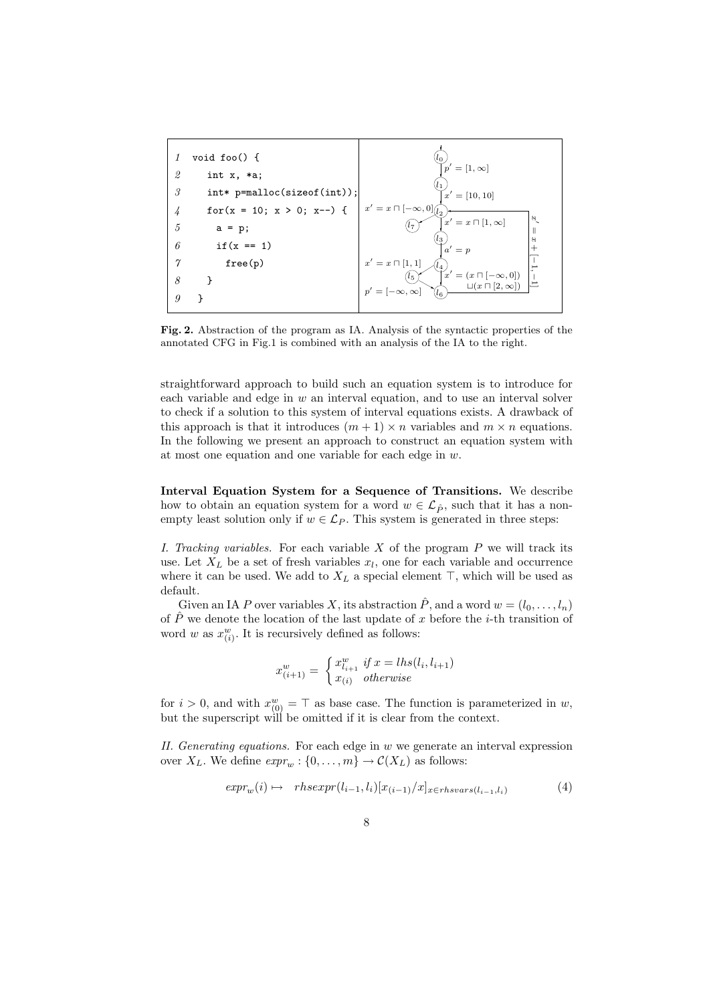

Fig. 2. Abstraction of the program as IA. Analysis of the syntactic properties of the annotated CFG in Fig.1 is combined with an analysis of the IA to the right.

straightforward approach to build such an equation system is to introduce for each variable and edge in  $w$  an interval equation, and to use an interval solver to check if a solution to this system of interval equations exists. A drawback of this approach is that it introduces  $(m + 1) \times n$  variables and  $m \times n$  equations. In the following we present an approach to construct an equation system with at most one equation and one variable for each edge in  $w$ .

Interval Equation System for a Sequence of Transitions. We describe how to obtain an equation system for a word  $w \in \mathcal{L}_{\hat{P}}$ , such that it has a nonempty least solution only if  $w \in \mathcal{L}_P$ . This system is generated in three steps:

I. Tracking variables. For each variable  $X$  of the program  $P$  we will track its use. Let  $X_L$  be a set of fresh variables  $x_l$ , one for each variable and occurrence where it can be used. We add to  $X_L$  a special element  $\top$ , which will be used as default.

Given an IA P over variables X, its abstraction  $\hat{P}$ , and a word  $w = (l_0, \ldots, l_n)$ of  $\hat{P}$  we denote the location of the last update of x before the *i*-th transition of word w as  $x_{(i)}^w$ . It is recursively defined as follows:

$$
x_{(i+1)}^{w} = \begin{cases} x_{l_{i+1}}^{w} & \text{if } x = lhs(l_i, l_{i+1}) \\ x_{(i)} & \text{otherwise} \end{cases}
$$

for  $i > 0$ , and with  $x_{(0)}^w = \top$  as base case. The function is parameterized in w, but the superscript will be omitted if it is clear from the context.

II. Generating equations. For each edge in  $w$  we generate an interval expression over  $X_L$ . We define  $expr_w : \{0, \ldots, m\} \to \mathcal{C}(X_L)$  as follows:

$$
expr_w(i) \mapsto \; \; \text{r} \, \text{h} \, \text{sezpr}(l_{i-1}, l_i) [x_{(i-1)}/x]_{x \in \text{r} \, \text{h} \, \text{s} \, \text{v} \, \text{h} \, \text{s} \, \text{v}}(l_{i-1}, l_i) \tag{4}
$$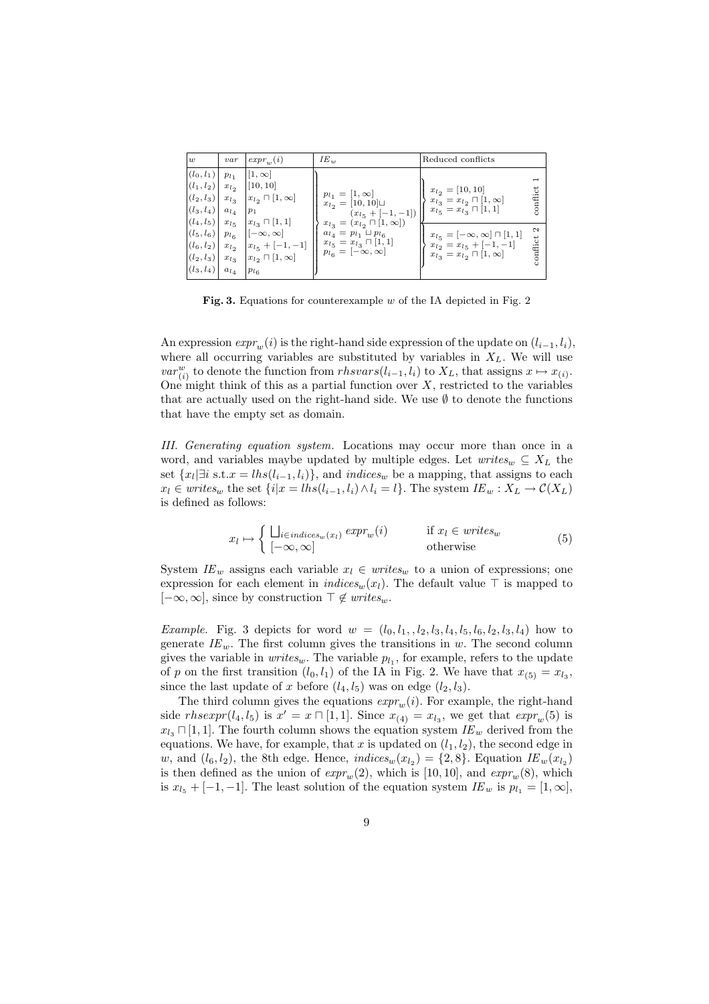| w                                                                                                   | var                                 | $expr_w(i)$                                                                                   | $IE_w$                                                                                                                       | Reduced conflicts                                                                                                    |                    |
|-----------------------------------------------------------------------------------------------------|-------------------------------------|-----------------------------------------------------------------------------------------------|------------------------------------------------------------------------------------------------------------------------------|----------------------------------------------------------------------------------------------------------------------|--------------------|
| $ (l_0, l_1)  p_{l_1}$<br>$(l_1, l_2)$<br>$(l_2, l_3)$<br>$ (l_3, l_4) $<br>$ (l_4, l_5)  x_{l_5} $ | $x_{l_2}$<br>$x_{l_3}$<br>$a_{l_4}$ | $  1, \infty  $<br>[10, 10]<br>$x_{l_2} \sqcap [1,\infty]$<br>$p_1$<br>$x_{l_3} \sqcap [1,1]$ | $p_{l_1} = [1, \infty]$<br>$x_{l_2} = [10, 10] \sqcup$<br>$(x_{l_5} + [-1, -1])$<br>$x_{l_3} = (x_{l_2} \sqcap [1, \infty])$ | $x_{l_2} = [10, 10]$<br>$x_{l_3} = x_{l_2} \sqcap [1, \infty]$<br>$x_{l5} = x_{l3} \sqcap [1,1]$                     | ರ<br>conflie       |
| $ (l_5, l_6)  p_{l_6} $<br>$ (l_6, l_2) $<br>$ (l_2, l_3) $<br>$ (l_3, l_4) $                       | $x_{l_2}$<br>$x_{l_3}$<br>$a_{l_4}$ | $ [-\infty,\infty]$<br>$x_{l_5} + [-1, -1]$<br>$x_{l_2} \sqcap [1,\infty]$<br>$p_{l_6}$       | $a_{l_4} = p_{l_1} \sqcup p_{l_6}$<br>$x_{l_5} = x_{l_3} \sqcap [1,1]$<br>$p_{l_6} = [-\infty, \infty]$                      | $x_{l_5} = [-\infty, \infty] \sqcap [1, 1]$<br>$x_{l_2} = x_{l_5} + [-1, -1]$<br>$x_{l_3}=x_{l_2} \sqcap [1,\infty]$ | $\sim$<br>conflict |

Fig. 3. Equations for counterexample  $w$  of the IA depicted in Fig. 2

An expression  $expr_w(i)$  is the right-hand side expression of the update on  $(l_{i-1}, l_i)$ , where all occurring variables are substituted by variables in  $X_L$ . We will use var<sup>w</sup><sub>(i)</sub> to denote the function from  $rhsvars(l_{i-1}, l_i)$  to  $X_L$ , that assigns  $x \mapsto x_{(i)}$ . One might think of this as a partial function over  $X$ , restricted to the variables that are actually used on the right-hand side. We use  $\emptyset$  to denote the functions that have the empty set as domain.

III. Generating equation system. Locations may occur more than once in a word, and variables maybe updated by multiple edges. Let  $writes_w \subseteq X_L$  the set  ${x_l \exists i$  s.t.  $x = lhs(l_{i-1}, l_i)$ , and indices<sub>w</sub> be a mapping, that assigns to each  $x_l \in writes_w$  the set  $\{i|x = lhs(l_{i-1}, l_i) \wedge l_i = l\}$ . The system  $IE_w: X_L \to C(X_L)$ is defined as follows:

$$
x_l \mapsto \begin{cases} \bigcup_{i \in indices_w(x_l)} exp r_w(i) & \text{if } x_l \in writes_w \\ [-\infty, \infty] & \text{otherwise} \end{cases} \tag{5}
$$

System  $IE_w$  assigns each variable  $x_l \in writes_w$  to a union of expressions; one expression for each element in  $indices_w(x_l)$ . The default value  $\top$  is mapped to  $[-\infty, \infty]$ , since by construction  $\top \notin \textit{writes}_w$ .

*Example.* Fig. 3 depicts for word  $w = (l_0, l_1, l_2, l_3, l_4, l_5, l_6, l_2, l_3, l_4)$  how to generate  $IE_w$ . The first column gives the transitions in w. The second column gives the variable in  $writes_w$ . The variable  $p_{l_1}$ , for example, refers to the update of p on the first transition  $(l_0, l_1)$  of the IA in Fig. 2. We have that  $x_{(5)} = x_{l_3}$ , since the last update of x before  $(l_4, l_5)$  was on edge  $(l_2, l_3)$ .

The third column gives the equations  $\exp r_m(i)$ . For example, the right-hand side rhsexpr(l<sub>4</sub>, l<sub>5</sub>) is  $x' = x \sqcap [1, 1]$ . Since  $x_{(4)} = x_{l_3}$ , we get that  $\exp r_w(5)$  is  $x_{l_3} \Box [1, 1]$ . The fourth column shows the equation system  $IE_w$  derived from the equations. We have, for example, that x is updated on  $(l_1, l_2)$ , the second edge in w, and  $(l_6, l_2)$ , the 8th edge. Hence,  $indices_w(x_{l_2}) = \{2, 8\}$ . Equation  $IE_w(x_{l_2})$ is then defined as the union of  $expr_w(2)$ , which is [10, 10], and  $expr_w(8)$ , which is  $x_{l_5} + [-1, -1]$ . The least solution of the equation system  $IE_w$  is  $p_{l_1} = [1, \infty]$ ,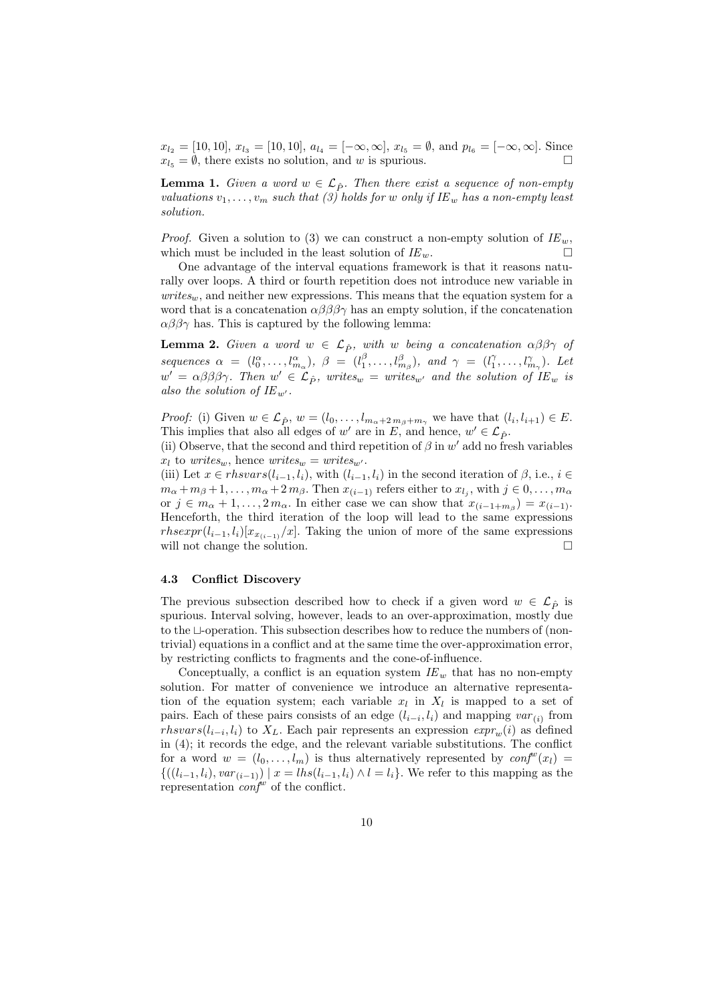$x_{l_2} = [10, 10], x_{l_3} = [10, 10], a_{l_4} = [-\infty, \infty], x_{l_5} = \emptyset, \text{ and } p_{l_6} = [-\infty, \infty].$  Since  $x_{l_5} = \emptyset$ , there exists no solution, and w is spurious.

**Lemma 1.** Given a word  $w \in \mathcal{L}_{\hat{P}}$ . Then there exist a sequence of non-empty valuations  $v_1, \ldots, v_m$  such that (3) holds for w only if IE<sub>w</sub> has a non-empty least solution.

*Proof.* Given a solution to (3) we can construct a non-empty solution of  $IE_w$ , which must be included in the least solution of  $IE_w$ .

One advantage of the interval equations framework is that it reasons naturally over loops. A third or fourth repetition does not introduce new variable in  $writes_w$ , and neither new expressions. This means that the equation system for a word that is a concatenation  $\alpha\beta\beta\beta\gamma$  has an empty solution, if the concatenation  $\alpha\beta\beta\gamma$  has. This is captured by the following lemma:

**Lemma 2.** Given a word  $w \in \mathcal{L}_{\hat{P}}$ , with w being a concatenation  $\alpha\beta\beta\gamma$  of sequences  $\alpha = (l_0^{\alpha}, \ldots, l_{m_{\alpha}}^{\alpha}), \beta = (l_1^{\beta}, \ldots, l_{m_{\beta}}^{\beta}), \text{ and } \gamma = (l_1^{\gamma}, \ldots, l_{m_{\gamma}}^{\gamma}).$  Let  $w' = \alpha \beta \beta \beta \gamma$ . Then  $w' \in \mathcal{L}_{\hat{P}}$ , writes<sub>w</sub> = writes<sub>w'</sub> and the solution of  $IE_w$  is also the solution of  $IE_{w'}$ .

*Proof:* (i) Given  $w \in \mathcal{L}_{\hat{P}}$ ,  $w = (l_0, \ldots, l_{m_\alpha+2m_\beta+m_\gamma})$  we have that  $(l_i, l_{i+1}) \in E$ . This implies that also all edges of w' are in E, and hence,  $w' \in \mathcal{L}_{\hat{P}}$ .

(ii) Observe, that the second and third repetition of  $\beta$  in w' add no fresh variables  $x_l$  to writes<sub>w</sub>, hence writes<sub>w</sub> = writes<sub>w'</sub>.

(iii) Let  $x \in \text{thsvars}(l_{i-1}, l_i)$ , with  $(l_{i-1}, l_i)$  in the second iteration of  $\beta$ , i.e.,  $i \in$  $m_{\alpha} + m_{\beta} + 1, \ldots, m_{\alpha} + 2 m_{\beta}$ . Then  $x_{(i-1)}$  refers either to  $x_{l_j}$ , with  $j \in 0, \ldots, m_{\alpha}$ or  $j \in m_\alpha + 1, \ldots, 2m_\alpha$ . In either case we can show that  $x_{(i-1+m_\beta)} = x_{(i-1)}$ . Henceforth, the third iteration of the loop will lead to the same expressions rhsexpr( $l_{i-1}, l_i$ )[ $x_{x(i-1)}/x$ ]. Taking the union of more of the same expressions will not change the solution.  $\Box$ 

## 4.3 Conflict Discovery

The previous subsection described how to check if a given word  $w \in \mathcal{L}_{\hat{P}}$  is spurious. Interval solving, however, leads to an over-approximation, mostly due to the  $\sqcup$ -operation. This subsection describes how to reduce the numbers of (nontrivial) equations in a conflict and at the same time the over-approximation error, by restricting conflicts to fragments and the cone-of-influence.

Conceptually, a conflict is an equation system  $IE_w$  that has no non-empty solution. For matter of convenience we introduce an alternative representation of the equation system; each variable  $x_l$  in  $X_l$  is mapped to a set of pairs. Each of these pairs consists of an edge  $(l_{i-i}, l_i)$  and mapping  $var_{(i)}$  from  $rhsvars(l_{i-i}, l_i)$  to  $X_L$ . Each pair represents an expression  $\exp r_w(i)$  as defined in (4); it records the edge, and the relevant variable substitutions. The conflict for a word  $w = (l_0, \ldots, l_m)$  is thus alternatively represented by  $\text{conf}^w(x_l) =$  $\{((l_{i-1}, l_i), var_{(i-1)}) \mid x = l h s(l_{i-1}, l_i) \land l = l_i\}.$  We refer to this mapping as the representation  $conf^w$  of the conflict.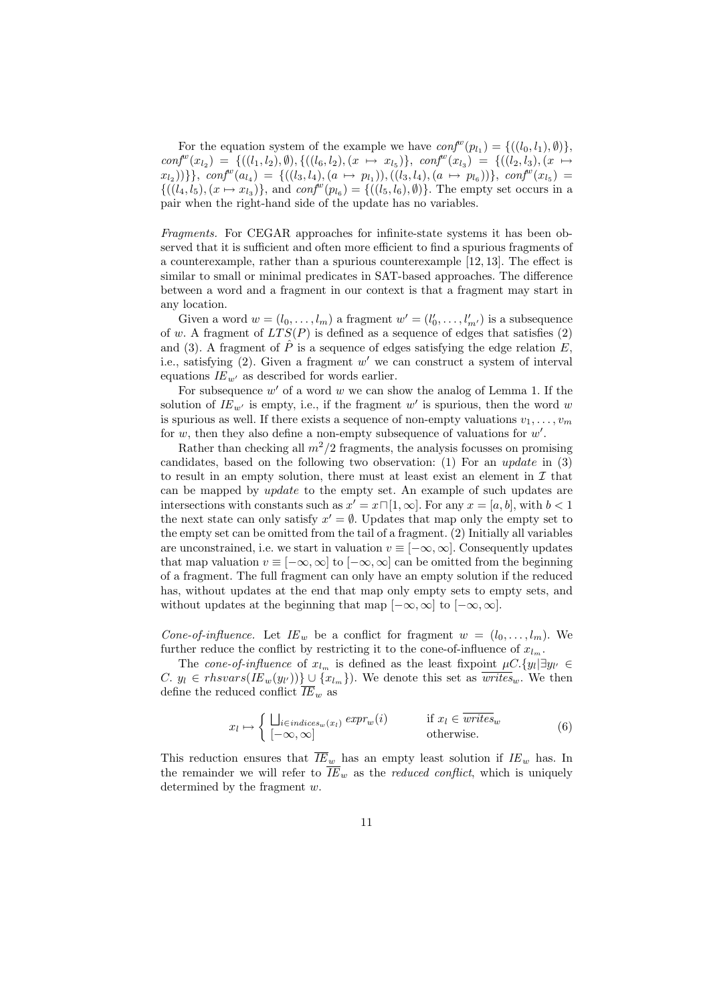For the equation system of the example we have  $\text{conf}^w(p_{l_1}) = \{((l_0, l_1), \emptyset)\},\$  $conf^{w}(x_{l_2}) = \{((l_1, l_2), \emptyset), \{((l_6, l_2), (x \mapsto x_{l_5})\}, \; conf^{w}(x_{l_3}) = \{((l_2, l_3), (x \mapsto x_{l_3})\})\}$  $\{ (x_{l_1}, x_{l_2}) ) \} \}, \text{conf}^w(a_{l_4}) = \{ ((l_3, l_4), (a \mapsto p_{l_1})), ((l_3, l_4), (a \mapsto p_{l_6})) \}, \text{conf}^w(x_{l_5}) = \}$  $\{((l_4, l_5), (x \mapsto x_{l_3})\}, \text{ and } conf^{w}(p_{l_6}) = \{((l_5, l_6), \emptyset)\}.$  The empty set occurs in a pair when the right-hand side of the update has no variables.

Fragments. For CEGAR approaches for infinite-state systems it has been observed that it is sufficient and often more efficient to find a spurious fragments of a counterexample, rather than a spurious counterexample [12, 13]. The effect is similar to small or minimal predicates in SAT-based approaches. The difference between a word and a fragment in our context is that a fragment may start in any location.

Given a word  $w = (l_0, \ldots, l_m)$  a fragment  $w' = (l'_0, \ldots, l'_{m'})$  is a subsequence of w. A fragment of  $LTS(P)$  is defined as a sequence of edges that satisfies (2) and (3). A fragment of  $\hat{P}$  is a sequence of edges satisfying the edge relation E, i.e., satisfying  $(2)$ . Given a fragment w' we can construct a system of interval equations  $IE_{w'}$  as described for words earlier.

For subsequence  $w'$  of a word w we can show the analog of Lemma 1. If the solution of  $IE_{w'}$  is empty, i.e., if the fragment  $w'$  is spurious, then the word w is spurious as well. If there exists a sequence of non-empty valuations  $v_1, \ldots, v_m$ for  $w$ , then they also define a non-empty subsequence of valuations for  $w'$ .

Rather than checking all  $m^2/2$  fragments, the analysis focusses on promising candidates, based on the following two observation:  $(1)$  For an update in  $(3)$ to result in an empty solution, there must at least exist an element in  $\mathcal I$  that can be mapped by update to the empty set. An example of such updates are intersections with constants such as  $x' = x \sqcap [1, \infty]$ . For any  $x = [a, b]$ , with  $b < 1$ the next state can only satisfy  $x' = \emptyset$ . Updates that map only the empty set to the empty set can be omitted from the tail of a fragment. (2) Initially all variables are unconstrained, i.e. we start in valuation  $v \equiv [-\infty, \infty]$ . Consequently updates that map valuation  $v \equiv [-\infty, \infty]$  to  $[-\infty, \infty]$  can be omitted from the beginning of a fragment. The full fragment can only have an empty solution if the reduced has, without updates at the end that map only empty sets to empty sets, and without updates at the beginning that map  $[-\infty, \infty]$  to  $[-\infty, \infty]$ .

Cone-of-influence. Let  $IE_w$  be a conflict for fragment  $w = (l_0, \ldots, l_m)$ . We further reduce the conflict by restricting it to the cone-of-influence of  $x_{l_m}$ .

The cone-of-influence of  $x_{l_m}$  is defined as the least fixpoint  $\mu C.\{y_l | \exists y_{l'} \in$ C.  $y_l \in \text{thsvars}(I E_w(y_{l'})) \} \cup \{x_{l_m}\}\)$ . We denote this set as  $\overline{\text{writes}}_w$ . We then define the reduced conflict  $\overline{IE}_w$  as

$$
x_l \mapsto \begin{cases} \bigcup_{i \in indices_w(x_l)} exp r_w(i) & \text{if } x_l \in \overline{writes}_w \\ [-\infty, \infty] & \text{otherwise.} \end{cases} \tag{6}
$$

This reduction ensures that  $\overline{IE}_w$  has an empty least solution if  $IE_w$  has. In the remainder we will refer to  $\overline{IE}_w$  as the *reduced conflict*, which is uniquely determined by the fragment w.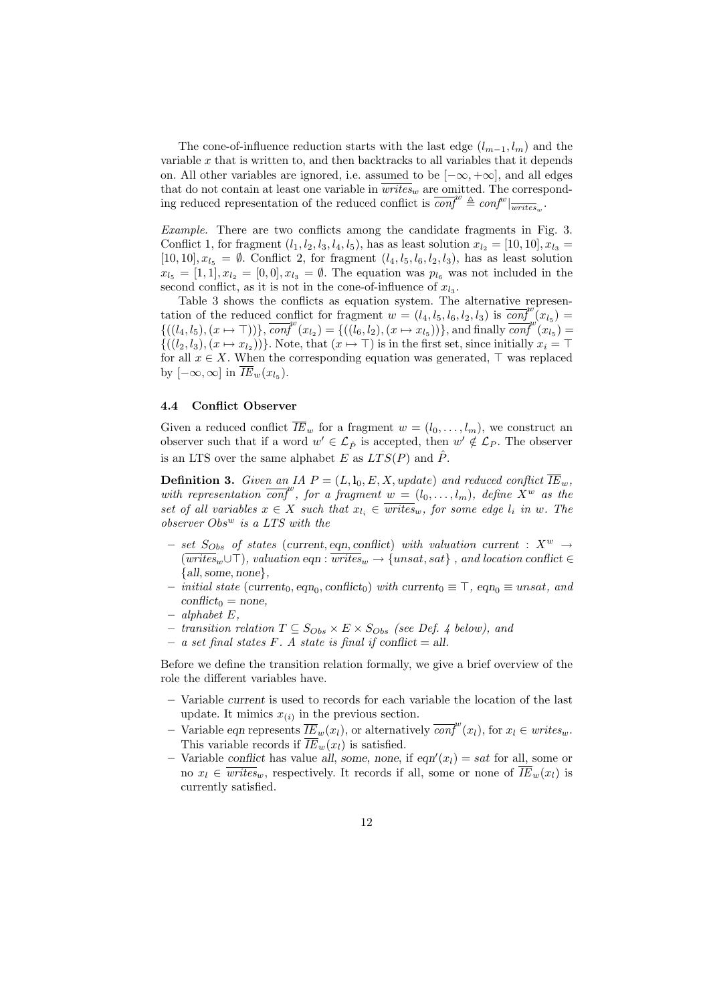The cone-of-influence reduction starts with the last edge  $(l_{m-1}, l_m)$  and the variable  $x$  that is written to, and then backtracks to all variables that it depends on. All other variables are ignored, i.e. assumed to be  $[-\infty, +\infty]$ , and all edges that do not contain at least one variable in  $\overline{writes_w}$  are omitted. The corresponding reduced representation of the reduced conflict is  $\overline{conf}^w \triangleq conf^w|_{writes_w}$ .

Example. There are two conflicts among the candidate fragments in Fig. 3. Conflict 1, for fragment  $(l_1, l_2, l_3, l_4, l_5)$ , has as least solution  $x_{l_2} = [10, 10], x_{l_3} =$ [10, 10],  $x_{l_5} = \emptyset$ . Conflict 2, for fragment  $(l_4, l_5, l_6, l_2, l_3)$ , has as least solution  $x_{l_5} = [1, 1], x_{l_2} = [0, 0], x_{l_3} = \emptyset$ . The equation was  $p_{l_6}$  was not included in the second conflict, as it is not in the cone-of-influence of  $x_{l_3}$ .

Table 3 shows the conflicts as equation system. The alternative representation of the reduced conflict for fragment  $w = (l_4, l_5, l_6, l_2, l_3)$  is  $\overline{conf}^w(x_{l_5}) =$  $\{((l_4, l_5), (x \mapsto \top))\}, \overline{conf}^w(x_{l_2}) = \{((l_6, l_2), (x \mapsto x_{l_5}))\}, \text{and finally } \overline{conf}^w(x_{l_5}) =$  ${((l_2, l_3), (x \mapsto x_{l_2}))}$ . Note, that  $(x \mapsto \top)$  is in the first set, since initially  $x_i = \top$ for all  $x \in X$ . When the corresponding equation was generated,  $\top$  was replaced by  $[-\infty, \infty]$  in  $\overline{IE}_w(x_{l_5})$ .

#### 4.4 Conflict Observer

Given a reduced conflict  $\overline{IE}_w$  for a fragment  $w = (l_0, \ldots, l_m)$ , we construct an observer such that if a word  $w' \in \mathcal{L}_{\hat{P}}$  is accepted, then  $w' \notin \mathcal{L}_{P}$ . The observer is an LTS over the same alphabet E as  $LTS(P)$  and  $\hat{P}$ .

**Definition 3.** Given an IA  $P = (L, l_0, E, X, update)$  and reduced conflict  $\overline{IE}_w$ , with representation  $\overline{conf}^w$ , for a fragment  $w = (l_0, \ldots, l_m)$ , define  $X^w$  as the set of all variables  $x \in X$  such that  $x_{l_i} \in \overline{writes}_w$ , for some edge  $l_i$  in w. The  $\emph{observer~Obs}^{w}$  is a LTS with the

- set  $S_{Obs}$  of states (current, eqn, conflict) with valuation current :  $X^{w} \rightarrow$  $(\overline{writes}_w \cup \top)$ , valuation eqn :  $\overline{writes}_w \rightarrow \{unsat, sat\}$ , and location conflict  $\in$  ${all, some, none},$
- $−$  initial state (current<sub>0</sub>, eqn<sub>0</sub>, conflict<sub>0</sub>) with current<sub>0</sub>  $\equiv \top$ , eqn<sub>0</sub> $\equiv$  unsat, and  $conflict_0 = none,$
- $-$  alphabet  $E$ ,
- − transition relation  $T \subseteq S_{Obs} \times E \times S_{Obs}$  (see Def. 4 below), and
- a set final states F. A state is final if conflict = all.

Before we define the transition relation formally, we give a brief overview of the role the different variables have.

- Variable current is used to records for each variable the location of the last update. It mimics  $x_{(i)}$  in the previous section.
- Variable eqn represents  $\overline{IE}_w(x_l)$ , or alternatively  $\overline{conf}^w(x_l)$ , for  $x_l \in writes_w$ . This variable records if  $\overline{IE}_w(x_l)$  is satisfied.
- Variable conflict has value all, some, none, if  $eqn'(x_l) = sat$  for all, some or no  $x_l \in \overline{writes}_w$ , respectively. It records if all, some or none of  $\overline{IE}_w(x_l)$  is currently satisfied.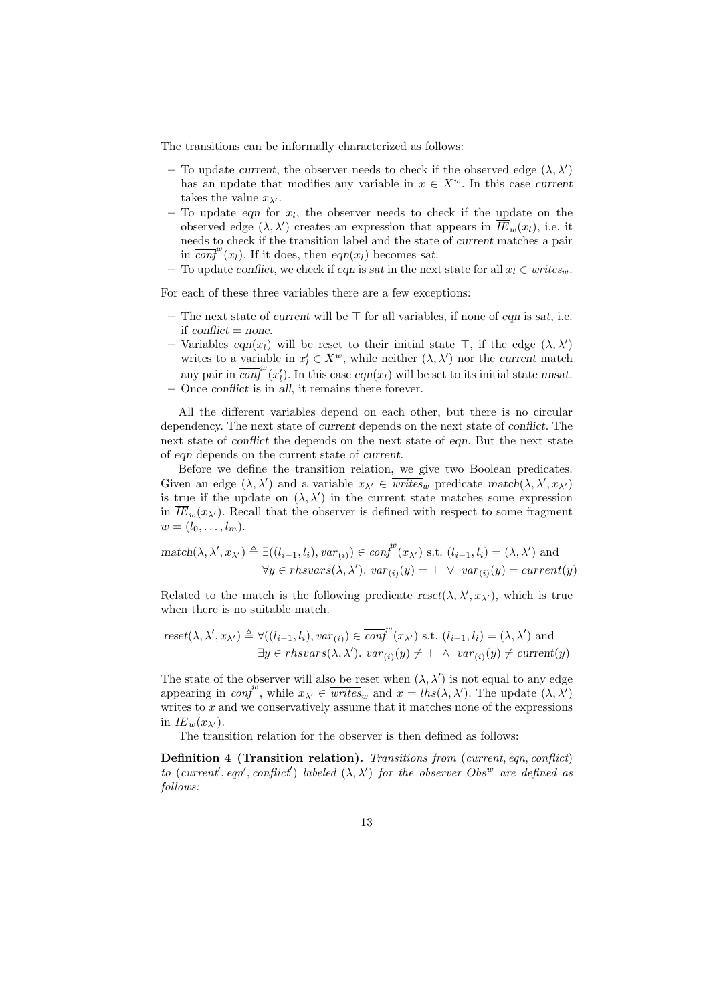The transitions can be informally characterized as follows:

- To update current, the observer needs to check if the observed edge  $(\lambda, \lambda')$ has an update that modifies any variable in  $x \in X^w$ . In this case current takes the value  $x_{\lambda'}$ .
- $-$  To update eqn for  $x_l$ , the observer needs to check if the update on the observed edge  $(\lambda, \lambda')$  creates an expression that appears in  $\overline{IE}_w(x_l)$ , i.e. it needs to check if the transition label and the state of current matches a pair in  $\overline{conf}^w(x_l)$ . If it does, then  $eqn(x_l)$  becomes sat.
- To update conflict, we check if eqn is sat in the next state for all  $x_l \in \overline{writes}_w$ .

For each of these three variables there are a few exceptions:

- The next state of current will be  $\top$  for all variables, if none of eqn is sat, i.e. if  $conflict = none$ .
- Variables eqn(x<sub>l</sub>) will be reset to their initial state  $\top$ , if the edge  $(\lambda, \lambda')$ writes to a variable in  $x'_l \in X^w$ , while neither  $(\lambda, \lambda')$  nor the current match any pair in  $\overline{conf}^w(x'_l)$ . In this case  $eqn(x_l)$  will be set to its initial state unsat. – Once conflict is in all, it remains there forever.
- 

All the different variables depend on each other, but there is no circular dependency. The next state of current depends on the next state of conflict. The next state of conflict the depends on the next state of eqn. But the next state of eqn depends on the current state of current.

Before we define the transition relation, we give two Boolean predicates. Given an edge  $(\lambda, \lambda')$  and a variable  $x_{\lambda'} \in \overline{writes}_w$  predicate match $(\lambda, \lambda', x_{\lambda'})$ is true if the update on  $(\lambda, \lambda')$  in the current state matches some expression in  $\overline{IE}_w(x_{\lambda_1})$ . Recall that the observer is defined with respect to some fragment  $w = (l_0, \ldots, l_m).$ 

$$
\begin{aligned}\n\text{match}(\lambda, \lambda', x_{\lambda'}) &\triangleq \exists ((l_{i-1}, l_i), \text{var}_{(i)}) \in \overline{\text{conf}}^w(x_{\lambda'}) \text{ s.t. } (l_{i-1}, l_i) = (\lambda, \lambda') \text{ and } \\
&\forall y \in \text{rhsvars}(\lambda, \lambda').\n\text{var}_{(i)}(y) = \top \lor \text{var}_{(i)}(y) = \text{current}(y)\n\end{aligned}
$$

Related to the match is the following predicate  $reset(\lambda, \lambda', x_{\lambda'})$ , which is true when there is no suitable match.

reset(
$$
\lambda, \lambda', x_{\lambda'}
$$
)  $\triangleq \forall ((l_{i-1}, l_i), var_{(i)}) \in \overline{conf}^{w}(x_{\lambda'})$  s.t.  $(l_{i-1}, l_i) = (\lambda, \lambda')$  and  
\n $\exists y \in \text{rhsvars}(\lambda, \lambda'). var_{(i)}(y) \neq \top \wedge var_{(i)}(y) \neq current(y)$ 

The state of the observer will also be reset when  $(\lambda, \lambda')$  is not equal to any edge appearing in  $\overline{conf}^w$ , while  $x_{\lambda'} \in \overline{writes}_w$  and  $x = \text{lhs}(\lambda, \lambda')$ . The update  $(\lambda, \lambda')$ writes to  $x$  and we conservatively assume that it matches none of the expressions in  $IE_w(x_{\lambda})$ .

The transition relation for the observer is then defined as follows:

Definition 4 (Transition relation). Transitions from (current, eqn, conflict) to (current', eqn', conflict') labeled  $(\lambda, \lambda')$  for the observer Obsw are defined as follows: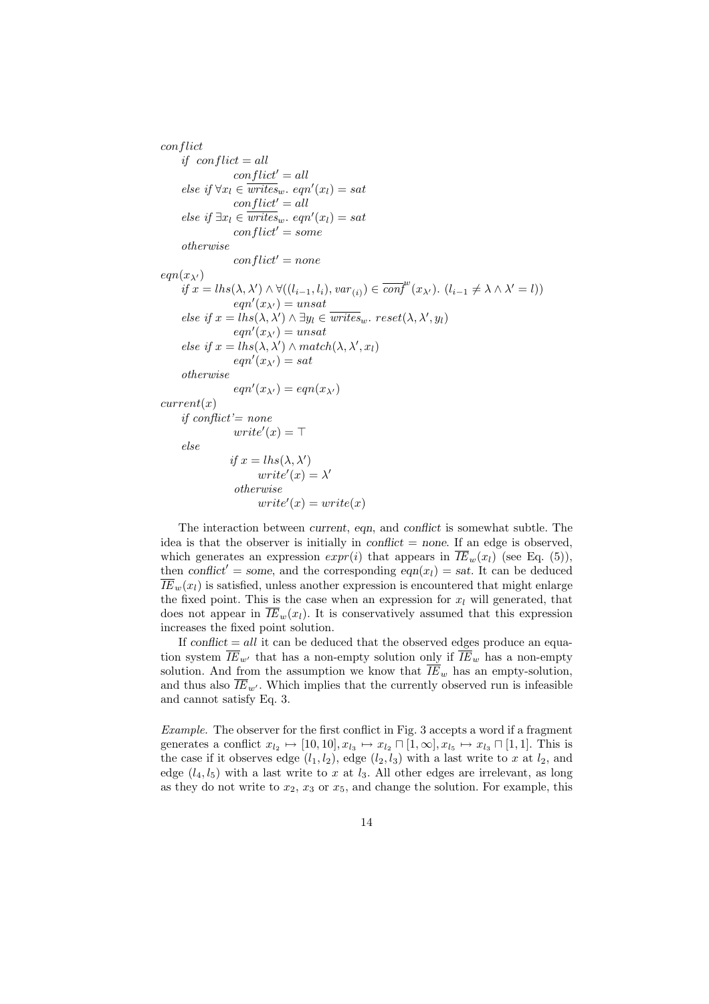conflict if  $conflict = all$  $conflict' = all$ else if  $\forall x_l \in \overline{writes}_w$ . eqn'(x<sub>l</sub>) = sat  $conflict' = all$ else if  $\exists x_l \in \overline{writes}_w$ . eqn'(x<sub>l</sub>) = sat  $conflict' = some$ otherwise  $conflict' = none$  $eqn(x_{\lambda'})$  $if x = lhs(\lambda, \lambda') \wedge \forall ((l_{i-1}, l_i), var_{(i)}) \in \overline{conf}^{w}(x_{\lambda'})$ .  $(l_{i-1} \neq \lambda \wedge \lambda' = l)$ )  $eqn'(x_{\lambda'}) = unsat$ else if  $x = \text{lns}(\lambda, \lambda') \wedge \exists y_l \in \overline{writes}_w$ .  $reset(\lambda, \lambda', y_l)$  $eqn'(x_{\lambda'}) = unsat$ else if  $x = lhs(\lambda, \lambda') \wedge match(\lambda, \lambda', x_l)$  $eqn'(x_{\lambda'}) = sat$ otherwise  $eqn'(x_{\lambda'}) = eqn(x_{\lambda'})$  $current(x)$ if conflict'=  $none$  $write'(x) = \top$ else if  $x = lhs(\lambda, \lambda')$  $write'(x) = \lambda'$ otherwise  $write'(x) = write(x)$ 

The interaction between current, eqn, and conflict is somewhat subtle. The idea is that the observer is initially in *conflict*  $=$  none. If an edge is observed, which generates an expression  $exp(ri)$  that appears in  $\overline{IE}_w(x_i)$  (see Eq. (5)), then conflict<sup>'</sup> = some, and the corresponding eqn(x<sub>l</sub>) = sat. It can be deduced  $\overline{IE}_w(x_l)$  is satisfied, unless another expression is encountered that might enlarge the fixed point. This is the case when an expression for  $x_l$  will generated, that does not appear in  $\overline{IE}_w(x_l)$ . It is conservatively assumed that this expression increases the fixed point solution.

If conflict  $=$  all it can be deduced that the observed edges produce an equation system  $\overline{IE}_{w'}$  that has a non-empty solution only if  $\overline{IE}_w$  has a non-empty solution. And from the assumption we know that  $\overline{IE}_w$  has an empty-solution, and thus also  $\overline{IE}_{w'}$ . Which implies that the currently observed run is infeasible and cannot satisfy Eq. 3.

Example. The observer for the first conflict in Fig. 3 accepts a word if a fragment generates a conflict  $x_{l_2} \mapsto [10, 10], x_{l_3} \mapsto x_{l_2} \sqcap [1, \infty], x_{l_5} \mapsto x_{l_3} \sqcap [1, 1].$  This is the case if it observes edge  $(l_1, l_2)$ , edge  $(l_2, l_3)$  with a last write to x at  $l_2$ , and edge  $(l_4, l_5)$  with a last write to x at  $l_3$ . All other edges are irrelevant, as long as they do not write to  $x_2$ ,  $x_3$  or  $x_5$ , and change the solution. For example, this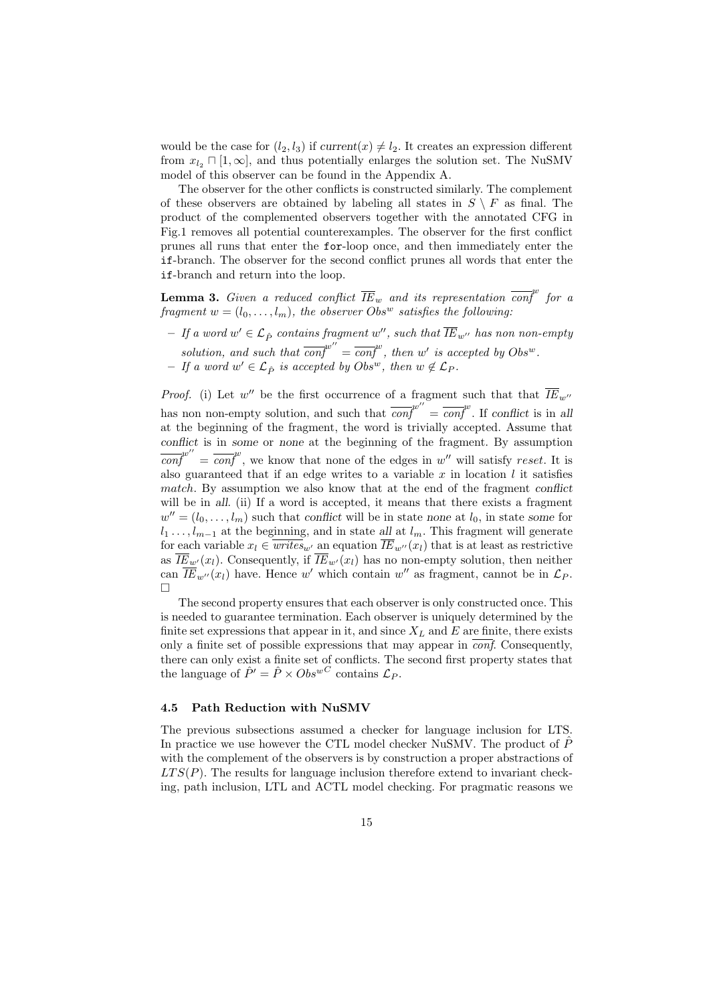would be the case for  $(l_2, l_3)$  if current $(x) \neq l_2$ . It creates an expression different from  $x_{l_2} \sqcap [1, \infty]$ , and thus potentially enlarges the solution set. The NuSMV model of this observer can be found in the Appendix A.

The observer for the other conflicts is constructed similarly. The complement of these observers are obtained by labeling all states in  $S \setminus F$  as final. The product of the complemented observers together with the annotated CFG in Fig.1 removes all potential counterexamples. The observer for the first conflict prunes all runs that enter the for-loop once, and then immediately enter the if-branch. The observer for the second conflict prunes all words that enter the if-branch and return into the loop.

**Lemma 3.** Given a reduced conflict  $\overline{IE}_w$  and its representation  $\overline{conf}^w$  for a fragment  $w = (l_0, \ldots, l_m)$ , the observer Obs<sup>w</sup> satisfies the following:

 $-$  If a word  $w'\in\mathcal{L}_{\hat{P}}$  contains fragment  $w'',$  such that  $\overline{IE}_{w''}$  has non non-empty solution, and such that  $\overline{conf}^{w''} = \overline{conf}^{w}$ , then w' is accepted by  $Obs^{w}$ . − If a word  $w' \in \mathcal{L}_{\hat{P}}$  is accepted by Obs<sup>w</sup>, then  $w \notin \mathcal{L}_{P}$ .

*Proof.* (i) Let  $w''$  be the first occurrence of a fragment such that that  $\overline{IE}_{w''}$ has non non-empty solution, and such that  $\overline{conf}^{w''} = \overline{conf}^{w}$ . If conflict is in all at the beginning of the fragment, the word is trivially accepted. Assume that conflict is in some or none at the beginning of the fragment. By assumption  $\overline{conf}^{w''} = \overline{conf}^{w}$ , we know that none of the edges in w'' will satisfy reset. It is also guaranteed that if an edge writes to a variable  $x$  in location  $l$  it satisfies match. By assumption we also know that at the end of the fragment conflict will be in all. (ii) If a word is accepted, it means that there exists a fragment  $w'' = (l_0, \ldots, l_m)$  such that conflict will be in state none at  $l_0$ , in state some for  $l_1 \ldots, l_{m-1}$  at the beginning, and in state all at  $l_m$ . This fragment will generate for each variable  $x_l \in \overline{writes}_{w'}$  an equation  $\overline{IE}_{w''}(x_l)$  that is at least as restrictive as  $\overline{IE}_{w'}(x_l)$ . Consequently, if  $\overline{IE}_{w'}(x_l)$  has no non-empty solution, then neither can  $\overline{IE}_{w''}(x_l)$  have. Hence w' which contain w'' as fragment, cannot be in  $\mathcal{L}_P$ .  $\Box$ 

The second property ensures that each observer is only constructed once. This is needed to guarantee termination. Each observer is uniquely determined by the finite set expressions that appear in it, and since  $X_L$  and  $E$  are finite, there exists only a finite set of possible expressions that may appear in  $\overline{conf}$ . Consequently, there can only exist a finite set of conflicts. The second first property states that the language of  $\hat{P}' = \hat{P} \times Obs^{wC}$  contains  $\mathcal{L}_P$ .

#### 4.5 Path Reduction with NuSMV

The previous subsections assumed a checker for language inclusion for LTS. In practice we use however the CTL model checker NuSMV. The product of  $\hat{P}$ with the complement of the observers is by construction a proper abstractions of  $LTS(P)$ . The results for language inclusion therefore extend to invariant checking, path inclusion, LTL and ACTL model checking. For pragmatic reasons we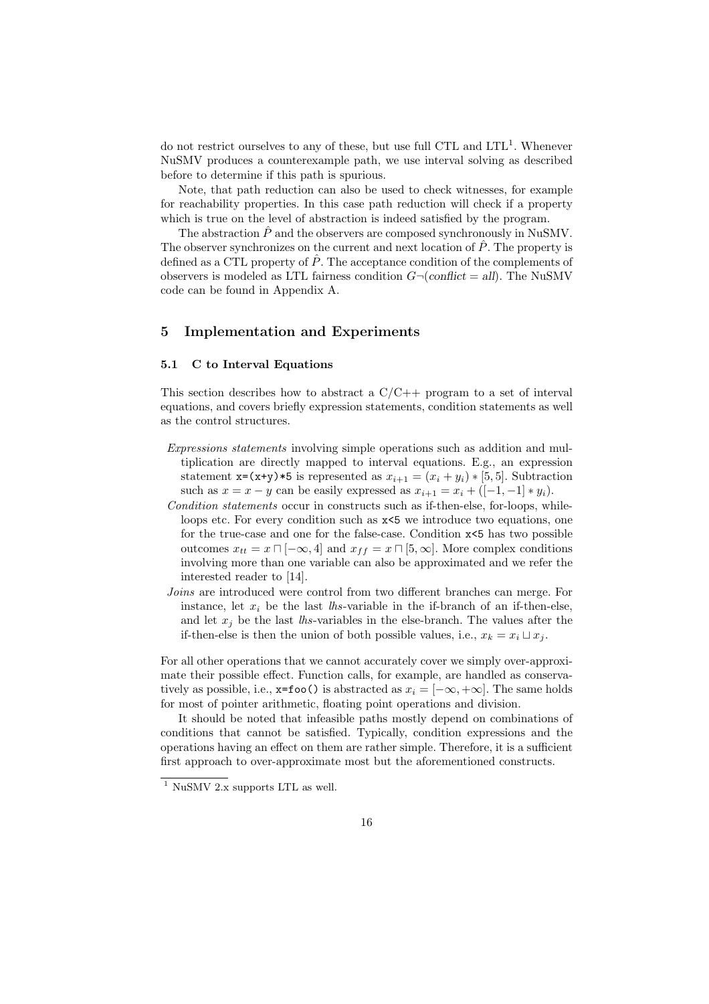do not restrict ourselves to any of these, but use full CTL and LTL<sup>1</sup>. Whenever NuSMV produces a counterexample path, we use interval solving as described before to determine if this path is spurious.

Note, that path reduction can also be used to check witnesses, for example for reachability properties. In this case path reduction will check if a property which is true on the level of abstraction is indeed satisfied by the program.

The abstraction  $\hat{P}$  and the observers are composed synchronously in NuSMV. The observer synchronizes on the current and next location of  $\hat{P}$ . The property is defined as a CTL property of  $\hat{P}$ . The acceptance condition of the complements of observers is modeled as LTL fairness condition  $G\neg$ (conflict = all). The NuSMV code can be found in Appendix A.

# 5 Implementation and Experiments

### 5.1 C to Interval Equations

This section describes how to abstract a  $C/C++$  program to a set of interval equations, and covers briefly expression statements, condition statements as well as the control structures.

- Expressions statements involving simple operations such as addition and multiplication are directly mapped to interval equations. E.g., an expression statement x=(x+y)\*5 is represented as  $x_{i+1} = (x_i + y_i) * [5, 5]$ . Subtraction such as  $x = x - y$  can be easily expressed as  $x_{i+1} = x_i + ([-1, -1] * y_i)$ .
- Condition statements occur in constructs such as if-then-else, for-loops, whileloops etc. For every condition such as  $x \le 5$  we introduce two equations, one for the true-case and one for the false-case. Condition x<5 has two possible outcomes  $x_{tt} = x \sqcap [-\infty, 4]$  and  $x_{ff} = x \sqcap [5, \infty]$ . More complex conditions involving more than one variable can also be approximated and we refer the interested reader to [14].
- Joins are introduced were control from two different branches can merge. For instance, let  $x_i$  be the last *lhs*-variable in the if-branch of an if-then-else, and let  $x_i$  be the last lhs-variables in the else-branch. The values after the if-then-else is then the union of both possible values, i.e.,  $x_k = x_i \sqcup x_i$ .

For all other operations that we cannot accurately cover we simply over-approximate their possible effect. Function calls, for example, are handled as conservatively as possible, i.e.,  $x=foo()$  is abstracted as  $x_i = [-\infty, +\infty]$ . The same holds for most of pointer arithmetic, floating point operations and division.

It should be noted that infeasible paths mostly depend on combinations of conditions that cannot be satisfied. Typically, condition expressions and the operations having an effect on them are rather simple. Therefore, it is a sufficient first approach to over-approximate most but the aforementioned constructs.

 $1$  NuSMV 2.x supports LTL as well.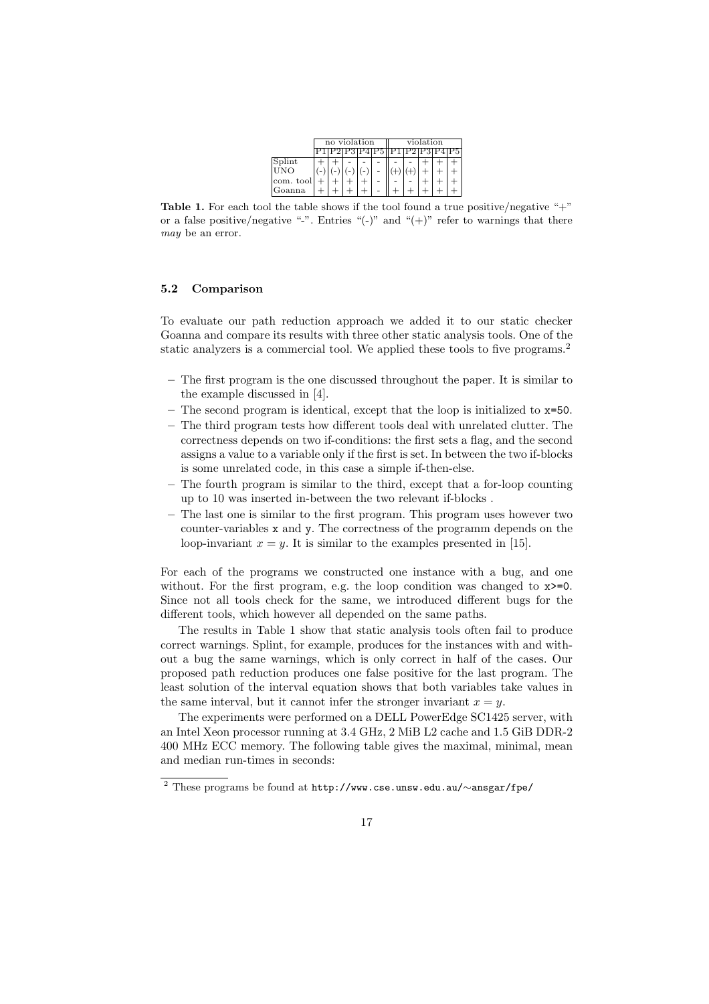|           | no violation |  |  |  |  | violation |  |  |  |    |
|-----------|--------------|--|--|--|--|-----------|--|--|--|----|
|           |              |  |  |  |  |           |  |  |  | 25 |
| Splint    |              |  |  |  |  |           |  |  |  |    |
| UNO       |              |  |  |  |  |           |  |  |  |    |
| com. tool |              |  |  |  |  |           |  |  |  |    |
| Goanna    |              |  |  |  |  |           |  |  |  |    |

**Table 1.** For each tool the table shows if the tool found a true positive/negative " $+$ " or a false positive/negative "-". Entries " $(-)$ " and " $(+)$ " refer to warnings that there may be an error.

#### 5.2 Comparison

To evaluate our path reduction approach we added it to our static checker Goanna and compare its results with three other static analysis tools. One of the static analyzers is a commercial tool. We applied these tools to five programs.<sup>2</sup>

- The first program is the one discussed throughout the paper. It is similar to the example discussed in [4].
- The second program is identical, except that the loop is initialized to x=50.
- The third program tests how different tools deal with unrelated clutter. The correctness depends on two if-conditions: the first sets a flag, and the second assigns a value to a variable only if the first is set. In between the two if-blocks is some unrelated code, in this case a simple if-then-else.
- The fourth program is similar to the third, except that a for-loop counting up to 10 was inserted in-between the two relevant if-blocks .
- The last one is similar to the first program. This program uses however two counter-variables x and y. The correctness of the programm depends on the loop-invariant  $x = y$ . It is similar to the examples presented in [15].

For each of the programs we constructed one instance with a bug, and one without. For the first program, e.g. the loop condition was changed to  $x \ge 0$ . Since not all tools check for the same, we introduced different bugs for the different tools, which however all depended on the same paths.

The results in Table 1 show that static analysis tools often fail to produce correct warnings. Splint, for example, produces for the instances with and without a bug the same warnings, which is only correct in half of the cases. Our proposed path reduction produces one false positive for the last program. The least solution of the interval equation shows that both variables take values in the same interval, but it cannot infer the stronger invariant  $x = y$ .

The experiments were performed on a DELL PowerEdge SC1425 server, with an Intel Xeon processor running at 3.4 GHz, 2 MiB L2 cache and 1.5 GiB DDR-2 400 MHz ECC memory. The following table gives the maximal, minimal, mean and median run-times in seconds:

<sup>2</sup> These programs be found at http://www.cse.unsw.edu.au/∼ansgar/fpe/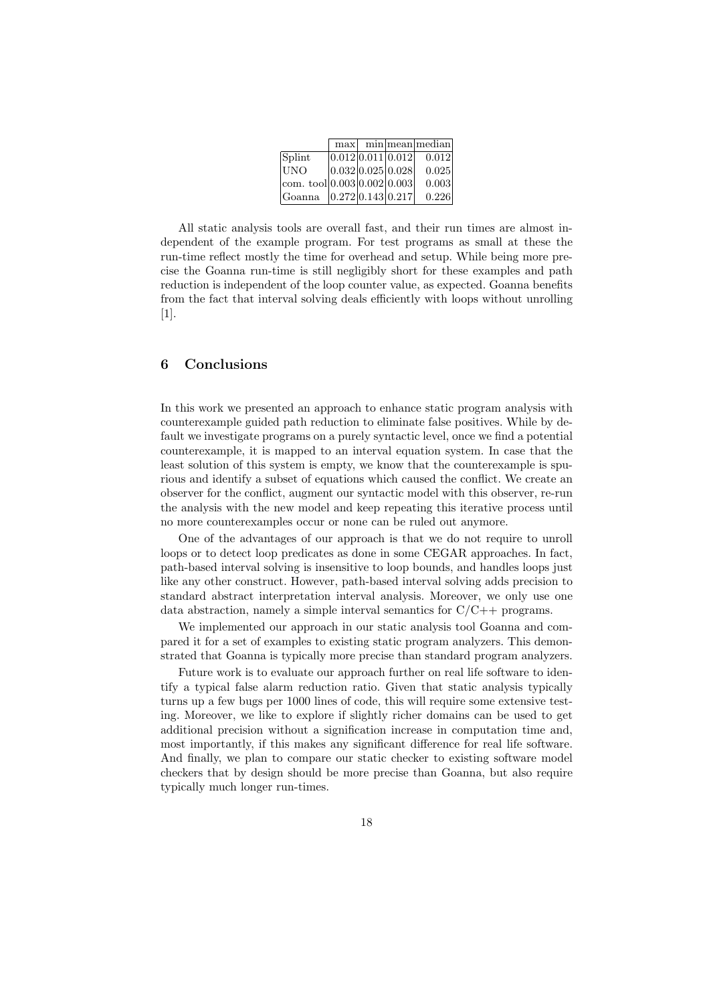|                                         | max |                   | min mean median |
|-----------------------------------------|-----|-------------------|-----------------|
| Splint                                  |     | 0.012 0.011 0.012 | 0.012           |
| IJNO                                    |     | 0.032 0.025 0.028 | 0.025           |
| $ com. \text{ tool} 0.003 0.002 0.003 $ |     |                   | 0.003           |
| Goanna                                  |     | 0.272 0.143 0.217 | 0.226           |

All static analysis tools are overall fast, and their run times are almost independent of the example program. For test programs as small at these the run-time reflect mostly the time for overhead and setup. While being more precise the Goanna run-time is still negligibly short for these examples and path reduction is independent of the loop counter value, as expected. Goanna benefits from the fact that interval solving deals efficiently with loops without unrolling [1].

## 6 Conclusions

In this work we presented an approach to enhance static program analysis with counterexample guided path reduction to eliminate false positives. While by default we investigate programs on a purely syntactic level, once we find a potential counterexample, it is mapped to an interval equation system. In case that the least solution of this system is empty, we know that the counterexample is spurious and identify a subset of equations which caused the conflict. We create an observer for the conflict, augment our syntactic model with this observer, re-run the analysis with the new model and keep repeating this iterative process until no more counterexamples occur or none can be ruled out anymore.

One of the advantages of our approach is that we do not require to unroll loops or to detect loop predicates as done in some CEGAR approaches. In fact, path-based interval solving is insensitive to loop bounds, and handles loops just like any other construct. However, path-based interval solving adds precision to standard abstract interpretation interval analysis. Moreover, we only use one data abstraction, namely a simple interval semantics for  $C/C++$  programs.

We implemented our approach in our static analysis tool Goanna and compared it for a set of examples to existing static program analyzers. This demonstrated that Goanna is typically more precise than standard program analyzers.

Future work is to evaluate our approach further on real life software to identify a typical false alarm reduction ratio. Given that static analysis typically turns up a few bugs per 1000 lines of code, this will require some extensive testing. Moreover, we like to explore if slightly richer domains can be used to get additional precision without a signification increase in computation time and, most importantly, if this makes any significant difference for real life software. And finally, we plan to compare our static checker to existing software model checkers that by design should be more precise than Goanna, but also require typically much longer run-times.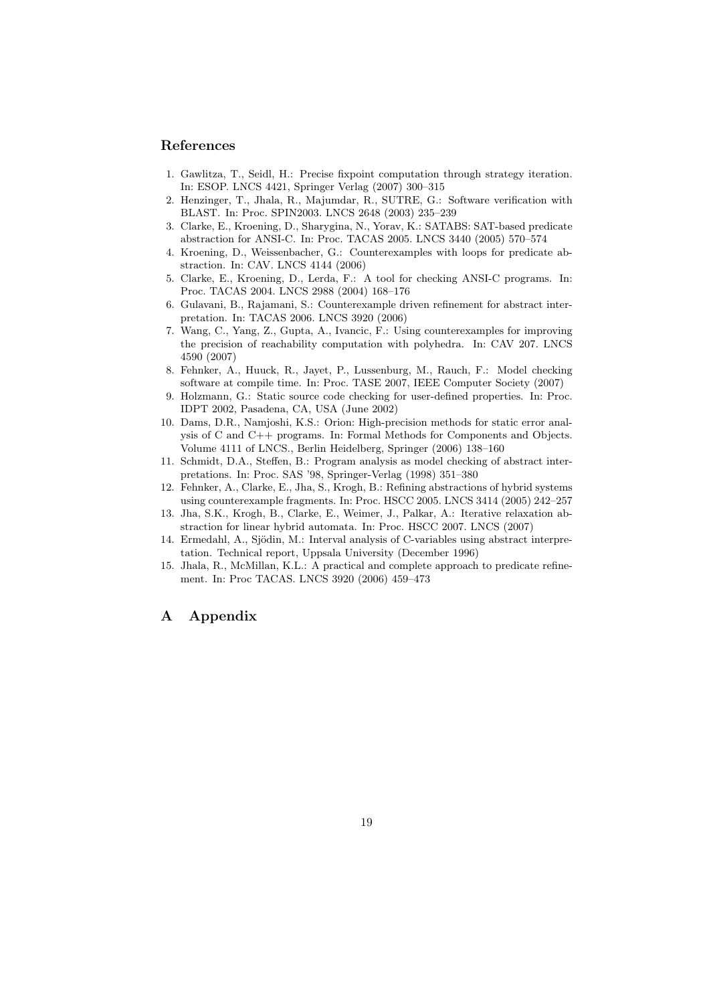## References

- 1. Gawlitza, T., Seidl, H.: Precise fixpoint computation through strategy iteration. In: ESOP. LNCS 4421, Springer Verlag (2007) 300–315
- 2. Henzinger, T., Jhala, R., Majumdar, R., SUTRE, G.: Software verification with BLAST. In: Proc. SPIN2003. LNCS 2648 (2003) 235–239
- 3. Clarke, E., Kroening, D., Sharygina, N., Yorav, K.: SATABS: SAT-based predicate abstraction for ANSI-C. In: Proc. TACAS 2005. LNCS 3440 (2005) 570–574
- 4. Kroening, D., Weissenbacher, G.: Counterexamples with loops for predicate abstraction. In: CAV. LNCS 4144 (2006)
- 5. Clarke, E., Kroening, D., Lerda, F.: A tool for checking ANSI-C programs. In: Proc. TACAS 2004. LNCS 2988 (2004) 168–176
- 6. Gulavani, B., Rajamani, S.: Counterexample driven refinement for abstract interpretation. In: TACAS 2006. LNCS 3920 (2006)
- 7. Wang, C., Yang, Z., Gupta, A., Ivancic, F.: Using counterexamples for improving the precision of reachability computation with polyhedra. In: CAV 207. LNCS 4590 (2007)
- 8. Fehnker, A., Huuck, R., Jayet, P., Lussenburg, M., Rauch, F.: Model checking software at compile time. In: Proc. TASE 2007, IEEE Computer Society (2007)
- 9. Holzmann, G.: Static source code checking for user-defined properties. In: Proc. IDPT 2002, Pasadena, CA, USA (June 2002)
- 10. Dams, D.R., Namjoshi, K.S.: Orion: High-precision methods for static error analysis of C and C++ programs. In: Formal Methods for Components and Objects. Volume 4111 of LNCS., Berlin Heidelberg, Springer (2006) 138–160
- 11. Schmidt, D.A., Steffen, B.: Program analysis as model checking of abstract interpretations. In: Proc. SAS '98, Springer-Verlag (1998) 351–380
- 12. Fehnker, A., Clarke, E., Jha, S., Krogh, B.: Refining abstractions of hybrid systems using counterexample fragments. In: Proc. HSCC 2005. LNCS 3414 (2005) 242–257
- 13. Jha, S.K., Krogh, B., Clarke, E., Weimer, J., Palkar, A.: Iterative relaxation abstraction for linear hybrid automata. In: Proc. HSCC 2007. LNCS (2007)
- 14. Ermedahl, A., Sjödin, M.: Interval analysis of C-variables using abstract interpretation. Technical report, Uppsala University (December 1996)
- 15. Jhala, R., McMillan, K.L.: A practical and complete approach to predicate refinement. In: Proc TACAS. LNCS 3920 (2006) 459–473

# A Appendix